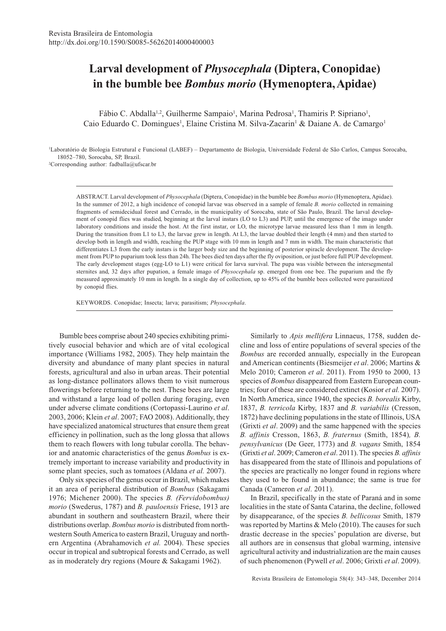# **Larval development of** *Physocephala* **(Diptera, Conopidae) in the bumble bee** *Bombus morio* **(Hymenoptera, Apidae)**

Fábio C. Abdalla<sup>1,2</sup>, Guilherme Sampaio<sup>1</sup>, Marina Pedrosa<sup>1</sup>, Thamiris P. Sipriano<sup>1</sup>, Caio Eduardo C. Domingues<sup>1</sup>, Elaine Cristina M. Silva-Zacarin<sup>1</sup> & Daiane A. de Camargo<sup>1</sup>

1 Laboratório de Biologia Estrutural e Funcional (LABEF) – Departamento de Biologia, Universidade Federal de São Carlos, Campus Sorocaba, 18052–780, Sorocaba, SP, Brazil. 2 Corresponding author: fadballa@ufscar.br

ABSTRACT. Larval development of *Physocephala* (Diptera, Conopidae) in the bumble bee *Bombus morio* (Hymenoptera, Apidae). In the summer of 2012, a high incidence of conopid larvae was observed in a sample of female *B. morio* collected in remaining fragments of semidecidual forest and Cerrado, in the municipality of Sorocaba, state of São Paulo, Brazil. The larval development of conopid flies was studied, beginning at the larval instars (LO to L3) and PUP, until the emergence of the imago under laboratory conditions and inside the host. At the first instar, or LO, the microtype larvae measured less than 1 mm in length. During the transition from L1 to L3, the larvae grew in length. At L3, the larvae doubled their length (4 mm) and then started to develop both in length and width, reaching the PUP stage with 10 mm in length and 7 mm in width. The main characteristic that differentiates L3 from the early instars is the larger body size and the beginning of posterior spiracle development. The development from PUP to puparium took less than 24h. The bees died ten days after the fly oviposition, or just before full PUP development. The early development stages (egg-LO to L1) were critical for larva survival. The pupa was visible between the intersegmental sternites and, 32 days after pupation, a female imago of *Physocephala* sp. emerged from one bee. The puparium and the fly measured approximately 10 mm in length. In a single day of collection, up to 45% of the bumble bees collected were parasitized by conopid flies.

KEYWORDS. Conopidae; Insecta; larva; parasitism; *Physocephala*.

Bumble bees comprise about 240 species exhibiting primitively eusocial behavior and which are of vital ecological importance (Williams 1982, 2005). They help maintain the diversity and abundance of many plant species in natural forests, agricultural and also in urban areas. Their potential as long-distance pollinators allows them to visit numerous flowerings before returning to the nest. These bees are large and withstand a large load of pollen during foraging, even under adverse climate conditions (Cortopassi-Laurino *et al*. 2003, 2006; Klein *et al*. 2007; FAO 2008). Additionally, they have specialized anatomical structures that ensure them great efficiency in pollination, such as the long glossa that allows them to reach flowers with long tubular corolla. The behavior and anatomic characteristics of the genus *Bombus* is extremely important to increase variability and productivity in some plant species, such as tomatoes (Aldana *et al.* 2007).

Only six species of the genus occur in Brazil, which makes it an area of peripheral distribution of *Bombus* (Sakagami 1976; Michener 2000). The species *B. (Fervidobombus) morio* (Swederus, 1787) and *B. pauloensis* Friese, 1913 are abundant in southern and southeastern Brazil, where their distributions overlap. *Bombus morio* is distributed from northwestern South America to eastern Brazil, Uruguay and northern Argentina (Abrahamovich *et al.* 2004). These species occur in tropical and subtropical forests and Cerrado, as well as in moderately dry regions (Moure & Sakagami 1962).

Similarly to *Apis mellifera* Linnaeus, 1758, sudden decline and loss of entire populations of several species of the *Bombus* are recorded annually, especially in the European and American continents (Biesmeijer *et al*. 2006; Martins & Melo 2010; Cameron *et al*. 2011). From 1950 to 2000, 13 species of *Bombus* disappeared from Eastern European countries; four of these are considered extinct (Kosior *et al.* 2007). In North America, since 1940, the species *B. borealis* Kirby, 1837, *B. terricola* Kirby, 1837 and *B. variabilis* (Cresson, 1872) have declining populations in the state of Illinois, USA (Grixti *et al*. 2009) and the same happened with the species *B. affinis* Cresson, 1863, *B. fraternus* (Smith, 1854)*, B. pensylvanicus* (De Geer, 1773) and *B. vagans* Smith, 1854 (Grixti *et al*. 2009; Cameron *et al*. 2011). The species *B. affinis* has disappeared from the state of Illinois and populations of the species are practically no longer found in regions where they used to be found in abundance; the same is true for Canada (Cameron *et al*. 2011).

In Brazil, specifically in the state of Paraná and in some localities in the state of Santa Catarina, the decline, followed by disappearance, of the species *B. bellicosus* Smith, 1879 was reported by Martins & Melo (2010). The causes for such drastic decrease in the species' population are diverse, but all authors are in consensus that global warming, intensive agricultural activity and industrialization are the main causes of such phenomenon (Pywell *et al*. 2006; Grixti *et al*. 2009).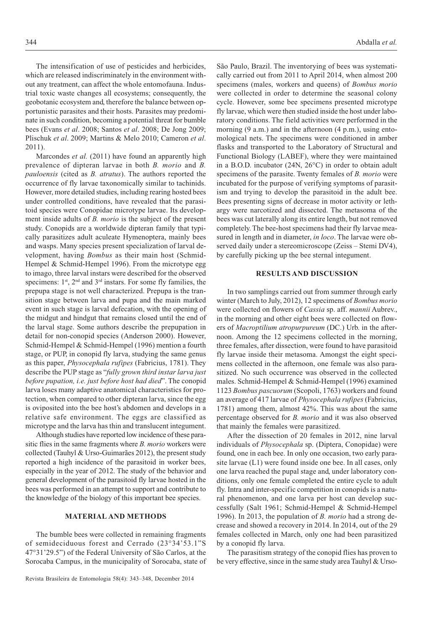The intensification of use of pesticides and herbicides, which are released indiscriminately in the environment without any treatment, can affect the whole entomofauna. Industrial toxic waste changes all ecosystems; consequently, the geobotanic ecosystem and, therefore the balance between opportunistic parasites and their hosts. Parasites may predominate in such condition, becoming a potential threat for bumble bees (Evans *et al*. 2008; Santos *et al*. 2008; De Jong 2009; Plischuk *et al*. 2009; Martins & Melo 2010; Cameron *et al*. 2011).

Marcondes *et al.* (2011) have found an apparently high prevalence of dipteran larvae in both *B. morio* and *B. pauloensis* (cited as *B. atratus*). The authors reported the occurrence of fly larvae taxonomically similar to tachinids. However, more detailed studies, including rearing hosted bees under controlled conditions, have revealed that the parasitoid species were Conopidae microtype larvae. Its development inside adults of *B. morio* is the subject of the present study. Conopids are a worldwide dipteran family that typically parasitizes adult aculeate Hymenoptera, mainly bees and wasps. Many species present specialization of larval development, having *Bombus* as their main host (Schmid-Hempel & Schmid-Hempel 1996). From the microtype egg to imago, three larval instars were described for the observed specimens:  $1<sup>st</sup>$ ,  $2<sup>nd</sup>$  and  $3<sup>rd</sup>$  instars. For some fly families, the prepupa stage is not well characterized. Prepupa is the transition stage between larva and pupa and the main marked event in such stage is larval defecation, with the opening of the midgut and hindgut that remains closed until the end of the larval stage. Some authors describe the prepupation in detail for non-conopid species (Anderson 2000). However, Schmid-Hempel & Schmid-Hempel (1996) mention a fourth stage, or PUP, in conopid fly larva, studying the same genus as this paper, *Physocephala rufipes* (Fabricius, 1781). They describe the PUP stage as "*fully grown third instar larva just before pupation, i.e. just before host had died*". The conopid larva loses many adaptive anatomical characteristics for protection, when compared to other dipteran larva, since the egg is oviposited into the bee host's abdomen and develops in a relative safe environment. The eggs are classified as microtype and the larva has thin and translucent integument.

Although studies have reported low incidence of these parasitic flies in the same fragments where *B. morio* workers were collected (Tauhyl & Urso-Guimarães 2012), the present study reported a high incidence of the parasitoid in worker bees, especially in the year of 2012. The study of the behavior and general development of the parasitoid fly larvae hosted in the bees was performed in an attempt to support and contribute to the knowledge of the biology of this important bee species.

### **MATERIAL AND METHODS**

The bumble bees were collected in remaining fragments of semideciduous forest and Cerrado (23°34'53.1"S 47°31'29.5") of the Federal University of São Carlos, at the Sorocaba Campus, in the municipality of Sorocaba, state of

São Paulo, Brazil. The inventorying of bees was systematically carried out from 2011 to April 2014, when almost 200 specimens (males, workers and queens) of *Bombus morio* were collected in order to determine the seasonal colony cycle. However, some bee specimens presented microtype fly larvae, which were then studied inside the host under laboratory conditions. The field activities were performed in the morning (9 a.m.) and in the afternoon (4 p.m.), using entomological nets. The specimens were conditioned in amber flasks and transported to the Laboratory of Structural and Functional Biology (LABEF), where they were maintained in a B.O.D. incubator (24N, 26°C) in order to obtain adult specimens of the parasite. Twenty females of *B. morio* were incubated for the purpose of verifying symptoms of parasitism and trying to develop the parasitoid in the adult bee. Bees presenting signs of decrease in motor activity or lethargy were narcotized and dissected. The metasoma of the bees was cut laterally along its entire length, but not removed completely. The bee-host specimens had their fly larvae measured in length and in diameter, *in loco*. The larvae were observed daily under a stereomicroscope (Zeiss – Stemi DV4), by carefully picking up the bee sternal integument.

### **RESULTS AND DISCUSSION**

In two samplings carried out from summer through early winter (March to July, 2012), 12 specimens of *Bombus morio* were collected on flowers of *Cassia* sp. aff. *mannii* Aubrev., in the morning and other eight bees were collected on flowers of *Macroptilium atropurpureum* (DC.) Urb. in the afternoon. Among the 12 specimens collected in the morning, three females, after dissection, were found to have parasitoid fly larvae inside their metasoma. Amongst the eight specimens collected in the afternoon, one female was also parasitized. No such occurrence was observed in the collected males. Schmid-Hempel & Schmid-Hempel (1996) examined 1123 *Bombus pascuorum* (Scopoli, 1763) workers and found an average of 417 larvae of *Physocephala rufipes* (Fabricius, 1781) among them, almost 42%. This was about the same percentage observed for *B. morio* and it was also observed that mainly the females were parasitized.

After the dissection of 20 females in 2012, nine larval individuals of *Physocephala* sp. (Diptera, Conopidae) were found, one in each bee. In only one occasion, two early parasite larvae (L1) were found inside one bee. In all cases, only one larva reached the pupal stage and, under laboratory conditions, only one female completed the entire cycle to adult fly. Intra and inter-specific competition in conopids is a natural phenomenon, and one larva per host can develop successfully (Salt 1961; Schmid-Hempel & Schmid-Hempel 1996). In 2013, the population of *B. morio* had a strong decrease and showed a recovery in 2014. In 2014, out of the 29 females collected in March, only one had been parasitized by a conopid fly larva.

The parasitism strategy of the conopid flies has proven to be very effective, since in the same study area Tauhyl & Urso-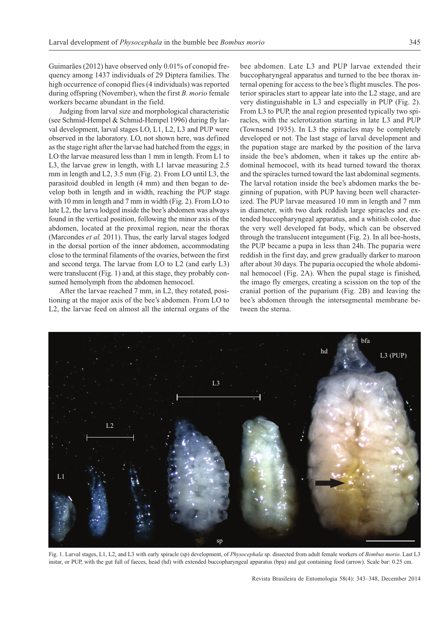Guimarães (2012) have observed only 0.01% of conopid frequency among 1437 individuals of 29 Diptera families. The high occurrence of conopid flies (4 individuals) was reported during offspring (November), when the first *B. morio* female workers became abundant in the field.

Judging from larval size and morphological characteristic (see Schmid-Hempel & Schmid-Hempel 1996) during fly larval development, larval stages LO, L1, L2, L3 and PUP were observed in the laboratory. LO, not shown here, was defined as the stage right after the larvae had hatched from the eggs; in LO the larvae measured less than 1 mm in length. From L1 to L3, the larvae grew in length, with L1 larvae measuring 2.5 mm in length and L2, 3.5 mm (Fig. 2). From LO until L3, the parasitoid doubled in length (4 mm) and then began to develop both in length and in width, reaching the PUP stage with 10 mm in length and 7 mm in width (Fig. 2). From LO to late L2, the larva lodged inside the bee's abdomen was always found in the vertical position, following the minor axis of the abdomen, located at the proximal region, near the thorax (Marcondes *et al.* 2011). Thus, the early larval stages lodged in the dorsal portion of the inner abdomen, accommodating close to the terminal filaments of the ovaries, between the first and second terga. The larvae from LO to L2 (and early L3) were translucent (Fig. 1) and, at this stage, they probably consumed hemolymph from the abdomen hemocoel.

After the larvae reached 7 mm, in L2, they rotated, positioning at the major axis of the bee's abdomen. From LO to L2, the larvae feed on almost all the internal organs of the

bee abdomen. Late L3 and PUP larvae extended their buccopharyngeal apparatus and turned to the bee thorax internal opening for access to the bee's flight muscles. The posterior spiracles start to appear late into the L2 stage, and are very distinguishable in L3 and especially in PUP (Fig. 2). From L3 to PUP, the anal region presented typically two spiracles, with the sclerotization starting in late L3 and PUP (Townsend 1935). In L3 the spiracles may be completely developed or not. The last stage of larval development and the pupation stage are marked by the position of the larva inside the bee's abdomen, when it takes up the entire abdominal hemocoel, with its head turned toward the thorax and the spiracles turned toward the last abdominal segments. The larval rotation inside the bee's abdomen marks the beginning of pupation, with PUP having been well characterized. The PUP larvae measured 10 mm in length and 7 mm in diameter, with two dark reddish large spiracles and extended buccopharyngeal apparatus, and a whitish color, due the very well developed fat body, which can be observed through the translucent integument (Fig. 2). In all bee-hosts, the PUP became a pupa in less than 24h. The puparia were reddish in the first day, and grew gradually darker to maroon after about 30 days. The puparia occupied the whole abdominal hemocoel (Fig. 2A). When the pupal stage is finished, the imago fly emerges, creating a scission on the top of the cranial portion of the puparium (Fig. 2B) and leaving the bee's abdomen through the intersegmental membrane between the sterna.

bfa

 $L<sub>3</sub>$ L2 L1  $h\dot{c}$ L3 (PUP) sp

Fig. 1. Larval stages, L1, L2, and L3 with early spiracle (sp) development, of *Physocephala* sp. dissected from adult female workers of *Bombus morio*. Last L3 instar, or PUP, with the gut full of faeces, head (hd) with extended buccopharyngeal apparatus (bpa) and gut containing food (arrow). Scale bar: 0.25 cm.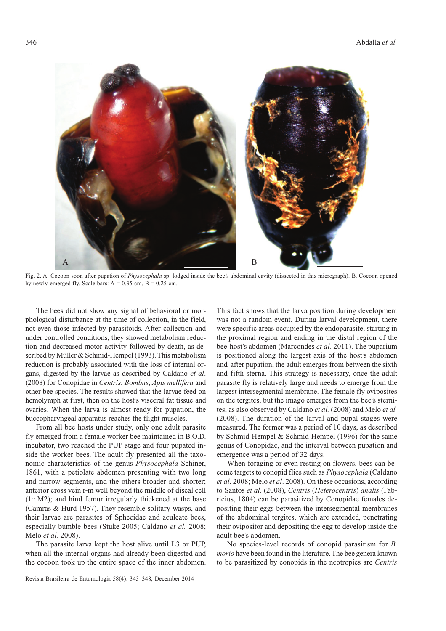

Fig. 2. A. Cocoon soon after pupation of *Physocephala* sp. lodged inside the bee's abdominal cavity (dissected in this micrograph). B. Cocoon opened by newly-emerged fly. Scale bars:  $A = 0.35$  cm,  $B = 0.25$  cm.

The bees did not show any signal of behavioral or morphological disturbance at the time of collection, in the field, not even those infected by parasitoids. After collection and under controlled conditions, they showed metabolism reduction and decreased motor activity followed by death, as described by Müller & Schmid-Hempel (1993). This metabolism reduction is probably associated with the loss of internal organs, digested by the larvae as described by Caldano *et al*. (2008) for Conopidae in *Centris*, *Bombus*, *Apis mellifera* and other bee species. The results showed that the larvae feed on hemolymph at first, then on the host's visceral fat tissue and ovaries. When the larva is almost ready for pupation, the buccopharyngeal apparatus reaches the flight muscles.

From all bee hosts under study, only one adult parasite fly emerged from a female worker bee maintained in B.O.D. incubator, two reached the PUP stage and four pupated inside the worker bees. The adult fly presented all the taxonomic characteristics of the genus *Physocephala* Schiner, 1861, with a petiolate abdomen presenting with two long and narrow segments, and the others broader and shorter; anterior cross vein r-m well beyond the middle of discal cell  $(1<sup>st</sup> M2)$ ; and hind femur irregularly thickened at the base (Camras & Hurd 1957). They resemble solitary wasps, and their larvae are parasites of Sphecidae and aculeate bees, especially bumble bees (Stuke 2005; Caldano *et al.* 2008; Melo *et al.* 2008).

The parasite larva kept the host alive until L3 or PUP, when all the internal organs had already been digested and the cocoon took up the entire space of the inner abdomen.

Revista Brasileira de Entomologia 58(4): 343–348, December 2014

This fact shows that the larva position during development was not a random event. During larval development, there were specific areas occupied by the endoparasite, starting in the proximal region and ending in the distal region of the bee-host's abdomen (Marcondes *et al.* 2011). The puparium is positioned along the largest axis of the host's abdomen and, after pupation, the adult emerges from between the sixth and fifth sterna. This strategy is necessary, once the adult parasite fly is relatively large and needs to emerge from the largest intersegmental membrane. The female fly oviposites on the tergites, but the imago emerges from the bee's sternites, as also observed by Caldano *et al.* (2008) and Melo *et al.* (2008). The duration of the larval and pupal stages were measured. The former was a period of 10 days, as described by Schmid-Hempel & Schmid-Hempel (1996) for the same genus of Conopidae, and the interval between pupation and emergence was a period of 32 days.

When foraging or even resting on flowers, bees can become targets to conopid flies such as *Physocephala* (Caldano *et al*. 2008; Melo *et al*. 2008). On these occasions, according to Santos *et al*. (2008), *Centris* (*Heterocentris*) *analis* (Fabricius, 1804) can be parasitized by Conopidae females depositing their eggs between the intersegmental membranes of the abdominal tergites, which are extended, penetrating their ovipositor and depositing the egg to develop inside the adult bee's abdomen.

No species-level records of conopid parasitism for *B. morio* have been found in the literature. The bee genera known to be parasitized by conopids in the neotropics are *Centris*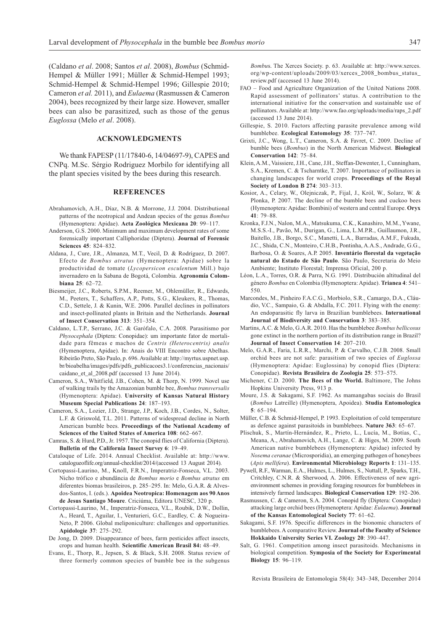(Caldano *et al*. 2008; Santos *et al*. 2008), *Bombus* (Schmid-Hempel & Müller 1991; Müller & Schmid-Hempel 1993; Schmid-Hempel & Schmid-Hempel 1996; Gillespie 2010; Cameron *et al.* 2011), and *Eulaema* (Rasmussen & Cameron 2004), bees recognized by their large size. However, smaller bees can also be parasitized, such as those of the genus *Euglossa* (Melo *et al*. 2008).

### **ACKNOWLEDGMENTS**

We thank FAPESP (11/17840-6, 14/04697-9), CAPES and CNPq. M.Sc. Sérgio Rodriguez Morbilo for identifying all the plant species visited by the bees during this research.

## **REFERENCES**

- Abrahamovich, A.H., Díaz, N.B. & Morrone, J.J. 2004. Distributional patterns of the neotropical and Andean species of the genus *Bombus* (Hymenoptera: Apidae). **Acta Zoológica Mexicana 20**: 99–117.
- Anderson, G.S. 2000. Minimum and maximum development rates of some forensically important Calliphoridae (Diptera). **Journal of Forensic Sciences 45**: 824–832.
- Aldana, J., Cure, J.R., Almanza, M.T., Vecil, D. & Rodríguez, D. 2007. Efecto de *Bombus atratus* (Hymenoptera: Apidae) sobre la productividad de tomate (*Lycopersicon esculentum* Mill.) bajo invernadero en la Sabana de Bogotá, Colombia. **Agronomía Colombiana 25**: 62–72.
- Biesmeijer, J.C., Roberts, S.P.M., Reemer, M., Ohlemüller, R., Edwards, M., Peeters, T., Schaffers, A.P., Potts, S.G., Kleukers, R., Thomas, C.D., Settele, J. & Kunin, W.E. 2006. Parallel declines in pollinators and insect-pollinated plants in Britain and the Netherlands. **Journal of Insect Conservation 313**: 351–354.
- Caldano, L.T.P., Serrano, J.C. & Garófalo, C.A. 2008. Parasitismo por *Physocephala* (Diptera: Conopidae): um importante fator de mortalidade para fêmeas e machos de *Centris (Heterocentris) analis* (Hymenoptera, Apidae). In: Anais do VIII Encontro sobre Abelhas. Ribeirão Preto, São Paulo, p. 696. Available at: http://myrtus.uspnet.usp. br/bioabelha/images/pdfs/pdfs\_publicacoes3.1/conferencias\_nacionais/ caidano\_et\_al\_2008.pdf (accessed 13 June 2014).
- Cameron, S.A., Whitfield, J.B., Cohen, M. & Thorp, N. 1999. Novel use of walking trails by the Amazonian bumble bee, *Bombus transversalis* (Hymenoptera: Apidae). **University of Kansas Natural History Museum Special Publications 24**: 187–193.
- Cameron, S.A., Lozier, J.D., Strange, J.P., Koch, J.B., Cordes, N., Solter, L.F. & Griswold, T.L. 2011. Patterns of widespread decline in North American bumble bees. **Proceedings of the National Academy of Sciences of the United States of America 108**: 662–667.
- Camras, S. & Hurd, P.D., Jr. 1957. The conopid flies of California (Diptera). **Bulletin of the California Insect Survey 6**: 19–49.
- Cataloque of Life. 2014. Annual Checklist. Available at: http://www. catalogueoflife.org/annual-checklist/2014/(accessed 13 August 2014).
- Cortopassi-Laurino, M., Knoll, F.R.N., Imperatriz-Fonseca, V.L. 2003. Nicho trófico e abundância de *Bombus morio* e *Bombus atratus* em diferentes biomas brasileiros, p. 285–295. In: Melo, G.A.R. & Alvesdos-Santos, I. (eds.). **Apoidea Neotropica: Homenagem aos 90 Anos de Jesus Santiago Moure**. Criciúma, Editora UNESC, 320 p.
- Cortopassi-Laurino, M., Imperatriz-Fonseca, V.L., Roubik, D.W., Dollin, A., Heard, T., Aguilar, I., Venturieri, G.C., Eardley, C. & Nogueira-Neto, P. 2006. Global meliponiculture: challenges and opportunities. **Apidologie 37**: 275–292.
- De Jong, D. 2009. Disappearance of bees, farm pesticides affect insects, crops and human health. **Scientific American Brasil 84:** 48–49.
- Evans, E., Thorp, R., Jepsen, S. & Black, S.H. 2008. Status review of three formerly common species of bumble bee in the subgenus

*Bombu*s. The Xerces Society. p. 63. Available at: http://www.xerces. org/wp-content/uploads/2009/03/xerces\_2008\_bombus\_status\_ review.pdf (accessed 13 June 2014).

- FAO Food and Agriculture Organization of the United Nations 2008. Rapid assessment of pollinators' status. A contribution to the international initiative for the conservation and sustainable use of pollinators. Available at: http://www.fao.org/uploads/media/raps\_2.pdf (accessed 13 June 2014).
- Gillespie, S. 2010. Factors affecting parasite prevalence among wild bumblebee. **Ecological Entomology 35**: 737–747.
- Grixti, J.C., Wong, L.T., Cameron, S.A. & Favret, C. 2009. Decline of bumble bees (*Bombus*) in the North American Midwest. **Biological Conservation 142**: 75–84.
- Klein, A.M., Vaissiere, J.H., Cane, J.H., Steffan-Dewenter, I., Cunningham, S.A., Kremen, C. & Tscharntke, T. 2007. Importance of pollinators in changing landscapes for world crops. **Proceedings of the Royal Society of London B 274**: 303–313.
- Kosior, A., Celary, W., Olejniczak, P., Fijal, J., Król, W., Solarz, W. & Plonka, P. 2007. The decline of the bumble bees and cuckoo bees (Hymenoptera: Apidae: Bombini) of western and central Europe. **Oryx 41**: 79–88.
- Kronka, F.J.N., Nalon, M.A., Matsukuma, C.K., Kanashiro, M.M., Ywane, M.S.S.-I., Pavão, M., Durigan, G., Lima, L.M.P.R., Guillaumon, J.R., Baitello, J.B., Borgo, S.C., Manetti, L.A., Barradas, A.M.F., Fukuda, J.C., Shida, C.N., Monteiro, C.H.B., Pontinha, A.A.S., Andrade, G.G., Barbosa, O. & Soares, A.P. 2005. **Inventário florestal da vegetação natural do Estado de São Paulo**. São Paulo, Secretaria do Meio Ambiente; Instituto Florestal; Imprensa Oficial, 200 p.
- Léon, L.A., Torres, O.R. & Parra, N.G. 1991. Distribución altitudinal del género *Bombus* en Colombia (Hymenoptera: Apidae). **Trianea 4**: 541– 550.
- Marcondes, M., Pinheiro F.A.C.G., Morbiolo, S.R., Camargo, D.A., Cláudio, V.C., Sampaio, G. & Abdalla, F.C. 2011. Flying with the enemy: An endoparasitic fly larva in Brazilian bumblebees. **International Journal of Biodiversity and Conservation 3**: 383–385.
- Martins, A.C. & Melo, G.A.R. 2010. Has the bumblebee *Bombus bellicosus* gone extinct in the northern portion of its distribution range in Brazil? **Journal of Insect Conservation 14**: 207–210.
- Melo, G.A.R., Faria, L.R.R., Marchi, P. & Carvalho, C.J.B. 2008. Small orchid bees are not safe: parasitism of two species of *Euglossa* (Hymenoptera: Apidae: Euglossina) by conopid flies (Diptera: Conopidae). **Revista Brasileira de Zoologia 25**: 573–575.
- Michener, C.D. 2000. **The Bees of the World.** Baltimore, The Johns Hopkins University Press, 913 p.
- Moure, J.S. & Sakagami, S.F. 1962. As mamangabas sociais do Brasil (*Bombus* Latreille) (Hymenoptera, Apoidea). **Studia Entomologica 5**: 65–194.
- Müller, C.B. & Schmid-Hempel, P. 1993. Exploitation of cold temperature as defence against parasitoids in bumblebees. **Nature 363**: 65–67.
- Plischuk, S., Martín-Hernández, R., Prieto, L., Lucía, M., Botías, C., Meana, A., Abrahamovich, A.H., Lange, C. & Higes, M. 2009. South American native bumblebees (Hymenoptera: Apidae) infected by *Nosema ceranae* (Microsporidia), an emerging pathogen of honeybees (*Apis mellifera*). **Environmental Microbiology Reports 1**: 131–135.
- Pywell, R.F., Warman, E.A., Hulmes, L., Hulmes, S., Nuttall, P., Sparks, T.H., Critchley, C.N.R. & Sherwood, A. 2006. Effectiveness of new agrienvironment schemes in providing foraging resources for bumblebees in intensively farmed landscapes. **Biological Conservation 129**: 192–206.
- Rasmussen, C. & Cameron, S.A. 2004. Conopid fly (Diptera: Conopidae) attacking large orchid bees (Hymenoptera: Apidae: *Eulaema*). **Journal of the Kansas Entomological Society 77**: 61–62.
- Sakagami, S.F. 1976. Specific differences in the bionomic characters of bumblebees. A comparative Review. **Journal of the Faculty of Science Hokkaido University Series VI. Zoology 20**: 390–447.
- Salt, G. 1961. Competition among insect parasitoids. Mechanisms in biological competition. **Symposia of the Society for Experimental Biology 15**: 96–119.

Revista Brasileira de Entomologia 58(4): 343–348, December 2014